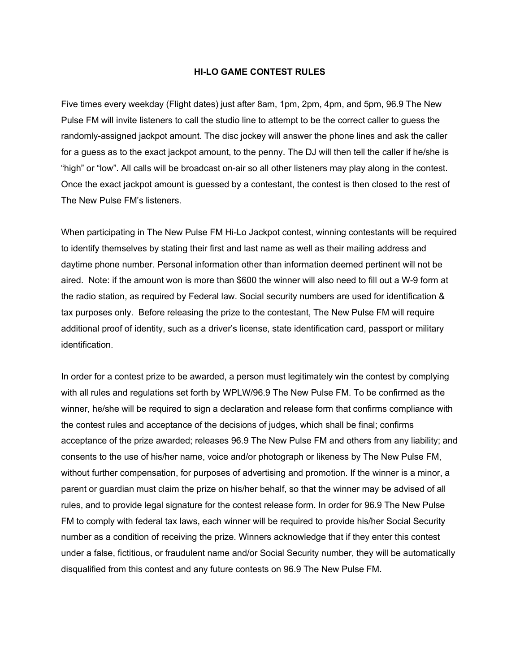## **HI-LO GAME CONTEST RULES**

Five times every weekday (Flight dates) just after 8am, 1pm, 2pm, 4pm, and 5pm, 96.9 The New Pulse FM will invite listeners to call the studio line to attempt to be the correct caller to guess the randomly-assigned jackpot amount. The disc jockey will answer the phone lines and ask the caller for a guess as to the exact jackpot amount, to the penny. The DJ will then tell the caller if he/she is "high" or "low". All calls will be broadcast on-air so all other listeners may play along in the contest. Once the exact jackpot amount is guessed by a contestant, the contest is then closed to the rest of The New Pulse FM's listeners.

When participating in The New Pulse FM Hi-Lo Jackpot contest, winning contestants will be required to identify themselves by stating their first and last name as well as their mailing address and daytime phone number. Personal information other than information deemed pertinent will not be aired. Note: if the amount won is more than \$600 the winner will also need to fill out a W-9 form at the radio station, as required by Federal law. Social security numbers are used for identification & tax purposes only. Before releasing the prize to the contestant, The New Pulse FM will require additional proof of identity, such as a driver's license, state identification card, passport or military identification.

In order for a contest prize to be awarded, a person must legitimately win the contest by complying with all rules and regulations set forth by WPLW/96.9 The New Pulse FM. To be confirmed as the winner, he/she will be required to sign a declaration and release form that confirms compliance with the contest rules and acceptance of the decisions of judges, which shall be final; confirms acceptance of the prize awarded; releases 96.9 The New Pulse FM and others from any liability; and consents to the use of his/her name, voice and/or photograph or likeness by The New Pulse FM, without further compensation, for purposes of advertising and promotion. If the winner is a minor, a parent or guardian must claim the prize on his/her behalf, so that the winner may be advised of all rules, and to provide legal signature for the contest release form. In order for 96.9 The New Pulse FM to comply with federal tax laws, each winner will be required to provide his/her Social Security number as a condition of receiving the prize. Winners acknowledge that if they enter this contest under a false, fictitious, or fraudulent name and/or Social Security number, they will be automatically disqualified from this contest and any future contests on 96.9 The New Pulse FM.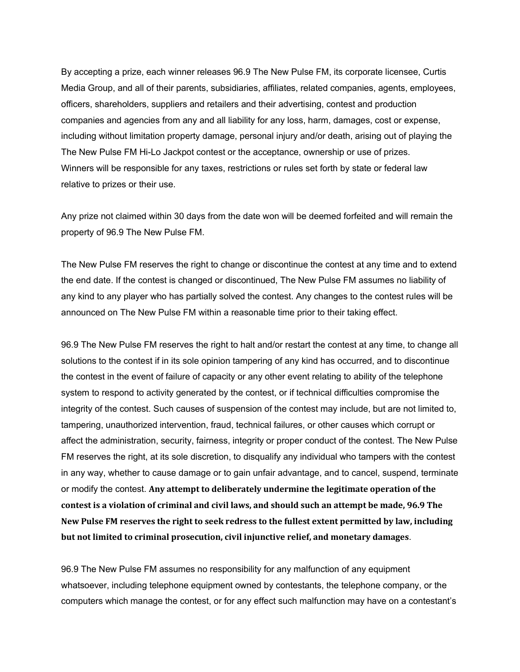By accepting a prize, each winner releases 96.9 The New Pulse FM, its corporate licensee, Curtis Media Group, and all of their parents, subsidiaries, affiliates, related companies, agents, employees, officers, shareholders, suppliers and retailers and their advertising, contest and production companies and agencies from any and all liability for any loss, harm, damages, cost or expense, including without limitation property damage, personal injury and/or death, arising out of playing the The New Pulse FM Hi-Lo Jackpot contest or the acceptance, ownership or use of prizes. Winners will be responsible for any taxes, restrictions or rules set forth by state or federal law relative to prizes or their use.

Any prize not claimed within 30 days from the date won will be deemed forfeited and will remain the property of 96.9 The New Pulse FM.

The New Pulse FM reserves the right to change or discontinue the contest at any time and to extend the end date. If the contest is changed or discontinued, The New Pulse FM assumes no liability of any kind to any player who has partially solved the contest. Any changes to the contest rules will be announced on The New Pulse FM within a reasonable time prior to their taking effect.

96.9 The New Pulse FM reserves the right to halt and/or restart the contest at any time, to change all solutions to the contest if in its sole opinion tampering of any kind has occurred, and to discontinue the contest in the event of failure of capacity or any other event relating to ability of the telephone system to respond to activity generated by the contest, or if technical difficulties compromise the integrity of the contest. Such causes of suspension of the contest may include, but are not limited to, tampering, unauthorized intervention, fraud, technical failures, or other causes which corrupt or affect the administration, security, fairness, integrity or proper conduct of the contest. The New Pulse FM reserves the right, at its sole discretion, to disqualify any individual who tampers with the contest in any way, whether to cause damage or to gain unfair advantage, and to cancel, suspend, terminate or modify the contest. **Any attempt to deliberately undermine the legitimate operation of the contest is a violation of criminal and civil laws, and should such an attempt be made, 96.9 The New Pulse FM reserves the right to seek redress to the fullest extent permitted by law, including but not limited to criminal prosecution, civil injunctive relief, and monetary damages**.

96.9 The New Pulse FM assumes no responsibility for any malfunction of any equipment whatsoever, including telephone equipment owned by contestants, the telephone company, or the computers which manage the contest, or for any effect such malfunction may have on a contestant's